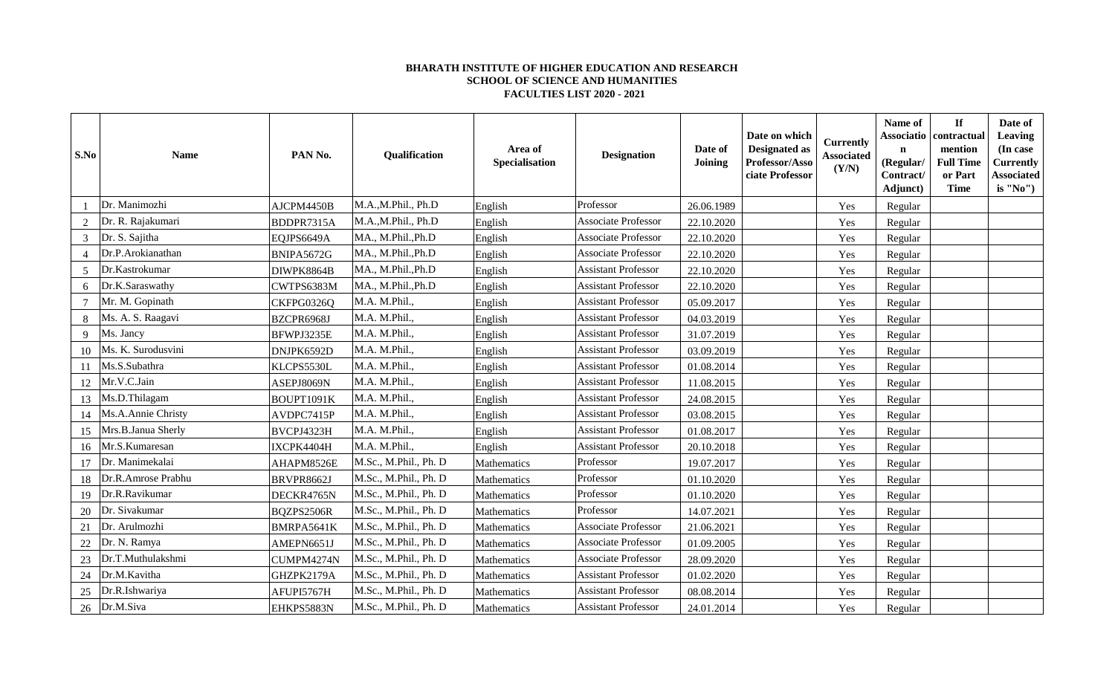## **BHARATH INSTITUTE OF HIGHER EDUCATION AND RESEARCH SCHOOL OF SCIENCE AND HUMANITIES FACULTIES LIST 2020 - 2021**

| S.No           | <b>Name</b>        | PAN No.    | Qualification         | Area of<br>Specialisation | <b>Designation</b>         | Date of<br><b>Joining</b> | Date on which<br><b>Designated as</b><br>Professor/Asso<br>ciate Professor | <b>Currently</b><br><b>Associated</b><br>(Y/N) | Name of<br>Associatio<br>$\mathbf n$<br>(Regular/<br>Contract/<br>Adjunct) | $\mathbf{If}$<br>contractual<br>mention<br><b>Full Time</b><br>or Part<br><b>Time</b> | Date of<br>Leaving<br>(In case<br><b>Currently</b><br><b>Associated</b><br>is "No") |
|----------------|--------------------|------------|-----------------------|---------------------------|----------------------------|---------------------------|----------------------------------------------------------------------------|------------------------------------------------|----------------------------------------------------------------------------|---------------------------------------------------------------------------------------|-------------------------------------------------------------------------------------|
|                | Dr. Manimozhi      | AJCPM4450B | M.A.,M.Phil., Ph.D    | English                   | Professor                  | 26.06.1989                |                                                                            | Yes                                            | Regular                                                                    |                                                                                       |                                                                                     |
| $\overline{2}$ | Dr. R. Rajakumari  | BDDPR7315A | M.A.,M.Phil., Ph.D    | English                   | <b>Associate Professor</b> | 22.10.2020                |                                                                            | Yes                                            | Regular                                                                    |                                                                                       |                                                                                     |
| 3              | Dr. S. Sajitha     | EQJPS6649A | MA., M.Phil., Ph.D    | English                   | <b>Associate Professor</b> | 22.10.2020                |                                                                            | Yes                                            | Regular                                                                    |                                                                                       |                                                                                     |
| 4              | Dr.P.Arokianathan  | BNIPA5672G | MA., M.Phil., Ph.D    | English                   | <b>Associate Professor</b> | 22.10.2020                |                                                                            | Yes                                            | Regular                                                                    |                                                                                       |                                                                                     |
| 5              | Dr.Kastrokumar     | DIWPK8864B | MA., M.Phil., Ph.D    | English                   | <b>Assistant Professor</b> | 22.10.2020                |                                                                            | Yes                                            | Regular                                                                    |                                                                                       |                                                                                     |
| 6              | Dr.K.Saraswathy    | CWTPS6383M | MA., M.Phil., Ph.D    | English                   | <b>Assistant Professor</b> | 22.10.2020                |                                                                            | Yes                                            | Regular                                                                    |                                                                                       |                                                                                     |
| $\tau$         | Mr. M. Gopinath    | CKFPG0326Q | M.A. M.Phil.,         | English                   | <b>Assistant Professor</b> | 05.09.2017                |                                                                            | Yes                                            | Regular                                                                    |                                                                                       |                                                                                     |
| 8              | Ms. A. S. Raagavi  | BZCPR6968J | M.A. M.Phil.,         | English                   | <b>Assistant Professor</b> | 04.03.2019                |                                                                            | Yes                                            | Regular                                                                    |                                                                                       |                                                                                     |
| 9              | Ms. Jancy          | BFWPJ3235E | M.A. M.Phil.,         | English                   | <b>Assistant Professor</b> | 31.07.2019                |                                                                            | Yes                                            | Regular                                                                    |                                                                                       |                                                                                     |
| 10             | Ms. K. Surodusvini | DNJPK6592D | M.A. M.Phil.,         | English                   | <b>Assistant Professor</b> | 03.09.2019                |                                                                            | Yes                                            | Regular                                                                    |                                                                                       |                                                                                     |
| 11             | Ms.S.Subathra      | KLCPS5530L | M.A. M.Phil.,         | English                   | <b>Assistant Professor</b> | 01.08.2014                |                                                                            | Yes                                            | Regular                                                                    |                                                                                       |                                                                                     |
| 12             | Mr.V.C.Jain        | ASEPJ8069N | M.A. M.Phil.,         | English                   | <b>Assistant Professor</b> | 11.08.2015                |                                                                            | Yes                                            | Regular                                                                    |                                                                                       |                                                                                     |
| 13             | Ms.D.Thilagam      | BOUPT1091K | M.A. M.Phil.,         | English                   | <b>Assistant Professor</b> | 24.08.2015                |                                                                            | Yes                                            | Regular                                                                    |                                                                                       |                                                                                     |
| 14             | Ms.A.Annie Christy | AVDPC7415P | M.A. M.Phil.,         | English                   | <b>Assistant Professor</b> | 03.08.2015                |                                                                            | Yes                                            | Regular                                                                    |                                                                                       |                                                                                     |
| 15             | Mrs.B.Janua Sherly | BVCPJ4323H | M.A. M.Phil.,         | English                   | <b>Assistant Professor</b> | 01.08.2017                |                                                                            | Yes                                            | Regular                                                                    |                                                                                       |                                                                                     |
| 16             | Mr.S.Kumaresan     | IXCPK4404H | M.A. M.Phil.,         | English                   | <b>Assistant Professor</b> | 20.10.2018                |                                                                            | Yes                                            | Regular                                                                    |                                                                                       |                                                                                     |
| 17             | Dr. Manimekalai    | AHAPM8526E | M.Sc., M.Phil., Ph. D | Mathematics               | Professor                  | 19.07.2017                |                                                                            | Yes                                            | Regular                                                                    |                                                                                       |                                                                                     |
| 18             | Dr.R.Amrose Prabhu | BRVPR8662J | M.Sc., M.Phil., Ph. D | Mathematics               | Professor                  | 01.10.2020                |                                                                            | Yes                                            | Regular                                                                    |                                                                                       |                                                                                     |
| 19             | Dr.R.Ravikumar     | DECKR4765N | M.Sc., M.Phil., Ph. D | Mathematics               | Professor                  | 01.10.2020                |                                                                            | Yes                                            | Regular                                                                    |                                                                                       |                                                                                     |
| 20             | Dr. Sivakumar      | BQZPS2506R | M.Sc., M.Phil., Ph. D | Mathematics               | Professor                  | 14.07.2021                |                                                                            | Yes                                            | Regular                                                                    |                                                                                       |                                                                                     |
| 21             | Dr. Arulmozhi      | BMRPA5641K | M.Sc., M.Phil., Ph. D | Mathematics               | <b>Associate Professor</b> | 21.06.2021                |                                                                            | Yes                                            | Regular                                                                    |                                                                                       |                                                                                     |
| 22             | Dr. N. Ramya       | AMEPN6651J | M.Sc., M.Phil., Ph. D | Mathematics               | <b>Associate Professor</b> | 01.09.2005                |                                                                            | Yes                                            | Regular                                                                    |                                                                                       |                                                                                     |
| 23             | Dr.T.Muthulakshmi  | CUMPM4274N | M.Sc., M.Phil., Ph. D | Mathematics               | <b>Associate Professor</b> | 28.09.2020                |                                                                            | Yes                                            | Regular                                                                    |                                                                                       |                                                                                     |
| 24             | Dr.M.Kavitha       | GHZPK2179A | M.Sc., M.Phil., Ph. D | Mathematics               | <b>Assistant Professor</b> | 01.02.2020                |                                                                            | Yes                                            | Regular                                                                    |                                                                                       |                                                                                     |
| 25             | Dr.R.Ishwariya     | AFUPI5767H | M.Sc., M.Phil., Ph. D | Mathematics               | <b>Assistant Professor</b> | 08.08.2014                |                                                                            | Yes                                            | Regular                                                                    |                                                                                       |                                                                                     |
|                | 26 Dr.M.Siva       | EHKPS5883N | M.Sc., M.Phil., Ph. D | Mathematics               | <b>Assistant Professor</b> | 24.01.2014                |                                                                            | Yes                                            | Regular                                                                    |                                                                                       |                                                                                     |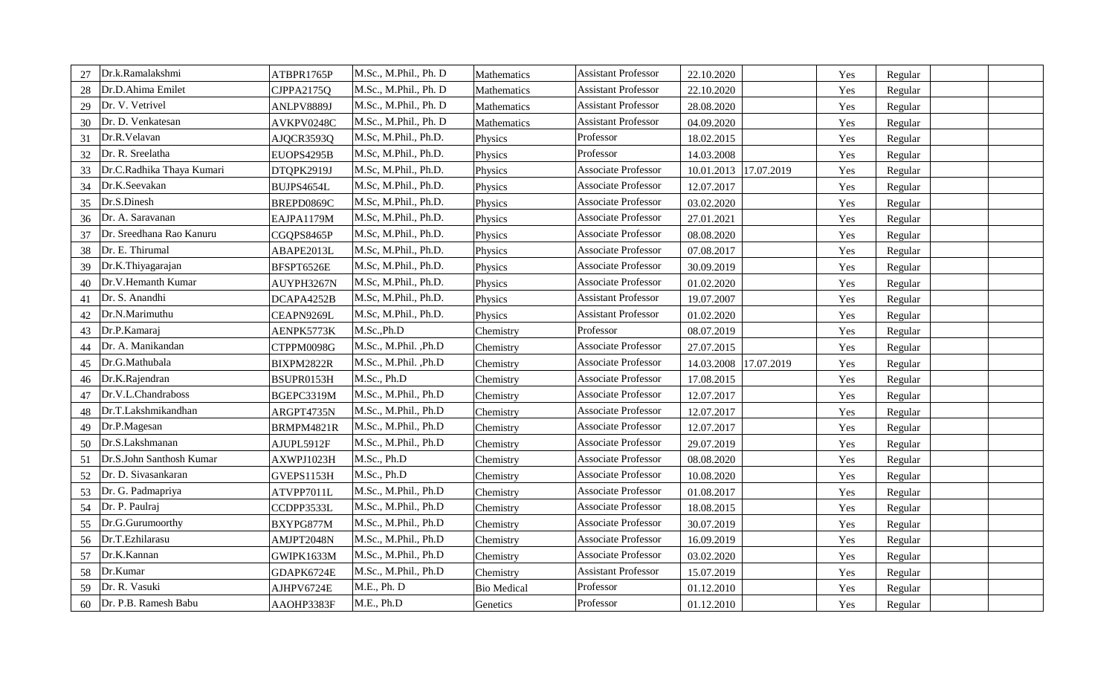| Dr.k.Ramalakshmi                | ATBPR1765P | M.Sc., M.Phil., Ph. D | Mathematics        | <b>Assistant Professor</b> | 22.10.2020 |            | Yes | Regular |  |
|---------------------------------|------------|-----------------------|--------------------|----------------------------|------------|------------|-----|---------|--|
| Dr.D.Ahima Emilet<br>28         | CJPPA2175Q | M.Sc., M.Phil., Ph. D | Mathematics        | <b>Assistant Professor</b> | 22.10.2020 |            | Yes | Regular |  |
| Dr. V. Vetrivel<br>29           | ANLPV8889J | M.Sc., M.Phil., Ph. D | Mathematics        | <b>Assistant Professor</b> | 28.08.2020 |            | Yes | Regular |  |
| Dr. D. Venkatesan<br>30         | AVKPV0248C | M.Sc., M.Phil., Ph. D | Mathematics        | <b>Assistant Professor</b> | 04.09.2020 |            | Yes | Regular |  |
| Dr.R.Velavan<br>31              | AJQCR3593Q | M.Sc, M.Phil., Ph.D.  | Physics            | Professor                  | 18.02.2015 |            | Yes | Regular |  |
| Dr. R. Sreelatha<br>32          | EUOPS4295B | M.Sc, M.Phil., Ph.D.  | Physics            | Professor                  | 14.03.2008 |            | Yes | Regular |  |
| Dr.C.Radhika Thaya Kumari<br>33 | DTQPK2919J | M.Sc, M.Phil., Ph.D.  | Physics            | Associate Professor        | 10.01.2013 | 17.07.2019 | Yes | Regular |  |
| Dr.K.Seevakan<br>34             | BUJPS4654L | M.Sc, M.Phil., Ph.D.  | Physics            | <b>Associate Professor</b> | 12.07.2017 |            | Yes | Regular |  |
| Dr.S.Dinesh<br>35               | BREPD0869C | M.Sc, M.Phil., Ph.D.  | Physics            | <b>Associate Professor</b> | 03.02.2020 |            | Yes | Regular |  |
| Dr. A. Saravanan<br>36          | EAJPA1179M | M.Sc, M.Phil., Ph.D.  | Physics            | <b>Associate Professor</b> | 27.01.2021 |            | Yes | Regular |  |
| Dr. Sreedhana Rao Kanuru<br>37  | CGQPS8465P | M.Sc, M.Phil., Ph.D.  | Physics            | Associate Professor        | 08.08.2020 |            | Yes | Regular |  |
| Dr. E. Thirumal<br>38           | ABAPE2013L | M.Sc, M.Phil., Ph.D.  | Physics            | Associate Professor        | 07.08.2017 |            | Yes | Regular |  |
| Dr.K.Thiyagarajan<br>39         | BFSPT6526E | M.Sc, M.Phil., Ph.D.  | Physics            | <b>Associate Professor</b> | 30.09.2019 |            | Yes | Regular |  |
| Dr.V.Hemanth Kumar<br>40        | AUYPH3267N | M.Sc, M.Phil., Ph.D.  | Physics            | <b>Associate Professor</b> | 01.02.2020 |            | Yes | Regular |  |
| Dr. S. Anandhi<br>41            | DCAPA4252B | M.Sc, M.Phil., Ph.D.  | Physics            | <b>Assistant Professor</b> | 19.07.2007 |            | Yes | Regular |  |
| Dr.N.Marimuthu<br>42            | CEAPN9269L | M.Sc, M.Phil., Ph.D.  | Physics            | <b>Assistant Professor</b> | 01.02.2020 |            | Yes | Regular |  |
| Dr.P.Kamaraj<br>43              | AENPK5773K | M.Sc., Ph.D           | Chemistry          | Professor                  | 08.07.2019 |            | Yes | Regular |  |
| Dr. A. Manikandan<br>44         | CTPPM0098G | M.Sc., M.Phil., Ph.D  | Chemistry          | <b>Associate Professor</b> | 27.07.2015 |            | Yes | Regular |  |
| Dr.G.Mathubala<br>45            | BIXPM2822R | M.Sc., M.Phil., Ph.D  | Chemistry          | Associate Professor        | 14.03.2008 | 17.07.2019 | Yes | Regular |  |
| Dr.K.Rajendran<br>46            | BSUPR0153H | M.Sc., Ph.D           | Chemistry          | Associate Professor        | 17.08.2015 |            | Yes | Regular |  |
| Dr.V.L.Chandraboss<br>47        | BGEPC3319M | M.Sc., M.Phil., Ph.D  | Chemistry          | Associate Professor        | 12.07.2017 |            | Yes | Regular |  |
| Dr.T.Lakshmikandhan<br>48       | ARGPT4735N | M.Sc., M.Phil., Ph.D  | Chemistry          | Associate Professor        | 12.07.2017 |            | Yes | Regular |  |
| Dr.P.Magesan<br>49              | BRMPM4821R | M.Sc., M.Phil., Ph.D  | Chemistry          | <b>Associate Professor</b> | 12.07.2017 |            | Yes | Regular |  |
| Dr.S.Lakshmanan<br>50           | AJUPL5912F | M.Sc., M.Phil., Ph.D  | Chemistry          | Associate Professor        | 29.07.2019 |            | Yes | Regular |  |
| Dr.S.John Santhosh Kumar<br>51  | AXWPJ1023H | M.Sc., Ph.D           | Chemistry          | Associate Professor        | 08.08.2020 |            | Yes | Regular |  |
| Dr. D. Sivasankaran<br>52       | GVEPS1153H | M.Sc., Ph.D           | Chemistry          | <b>Associate Professor</b> | 10.08.2020 |            | Yes | Regular |  |
| Dr. G. Padmapriya<br>53         | ATVPP7011L | M.Sc., M.Phil., Ph.D  | Chemistry          | <b>Associate Professor</b> | 01.08.2017 |            | Yes | Regular |  |
| Dr. P. Paulraj<br>54            | CCDPP3533L | M.Sc., M.Phil., Ph.D  | Chemistry          | Associate Professor        | 18.08.2015 |            | Yes | Regular |  |
| Dr.G.Gurumoorthy<br>55          | BXYPG877M  | M.Sc., M.Phil., Ph.D  | Chemistry          | <b>Associate Professor</b> | 30.07.2019 |            | Yes | Regular |  |
| Dr.T.Ezhilarasu<br>56           | AMJPT2048N | M.Sc., M.Phil., Ph.D  | Chemistry          | Associate Professor        | 16.09.2019 |            | Yes | Regular |  |
| Dr.K.Kannan<br>57               | GWIPK1633M | M.Sc., M.Phil., Ph.D  | Chemistry          | <b>Associate Professor</b> | 03.02.2020 |            | Yes | Regular |  |
| Dr.Kumar<br>58                  | GDAPK6724E | M.Sc., M.Phil., Ph.D  | Chemistry          | <b>Assistant Professor</b> | 15.07.2019 |            | Yes | Regular |  |
| Dr. R. Vasuki<br>59             | AJHPV6724E | M.E., Ph. D           | <b>Bio Medical</b> | Professor                  | 01.12.2010 |            | Yes | Regular |  |
| Dr. P.B. Ramesh Babu<br>60      | AAOHP3383F | M.E., Ph.D            | Genetics           | Professor                  | 01.12.2010 |            | Yes | Regular |  |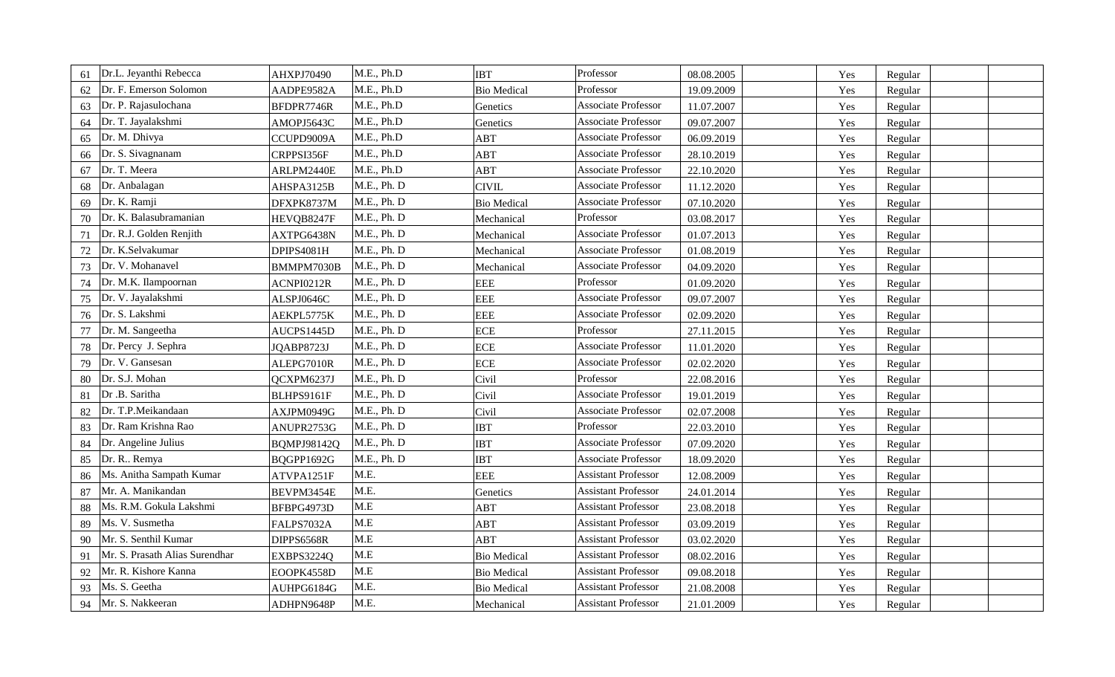| 61 | Dr.L. Jeyanthi Rebecca         | AHXPJ70490  | M.E., Ph.D  | <b>IBT</b>         | Professor                  | 08.08.2005 | Yes | Regular |  |
|----|--------------------------------|-------------|-------------|--------------------|----------------------------|------------|-----|---------|--|
| 62 | Dr. F. Emerson Solomon         | AADPE9582A  | M.E., Ph.D  | <b>Bio Medical</b> | Professor                  | 19.09.2009 | Yes | Regular |  |
| 63 | Dr. P. Rajasulochana           | BFDPR7746R  | M.E., Ph.D  | Genetics           | Associate Professor        | 11.07.2007 | Yes | Regular |  |
| 64 | Dr. T. Jayalakshmi             | AMOPJ5643C  | M.E., Ph.D  | Genetics           | <b>Associate Professor</b> | 09.07.2007 | Yes | Regular |  |
| 65 | Dr. M. Dhivya                  | CCUPD9009A  | M.E., Ph.D  | ABT                | Associate Professor        | 06.09.2019 | Yes | Regular |  |
| 66 | Dr. S. Sivagnanam              | CRPPSI356F  | M.E., Ph.D  | ABT                | Associate Professor        | 28.10.2019 | Yes | Regular |  |
| 67 | Dr. T. Meera                   | ARLPM2440E  | M.E., Ph.D  | ABT                | Associate Professor        | 22.10.2020 | Yes | Regular |  |
| 68 | Dr. Anbalagan                  | AHSPA3125B  | M.E., Ph. D | <b>CIVIL</b>       | Associate Professor        | 11.12.2020 | Yes | Regular |  |
| 69 | Dr. K. Ramji                   | DFXPK8737M  | M.E., Ph. D | <b>Bio Medical</b> | <b>Associate Professor</b> | 07.10.2020 | Yes | Regular |  |
| 70 | Dr. K. Balasubramanian         | HEVQB8247F  | M.E., Ph. D | Mechanical         | Professor                  | 03.08.2017 | Yes | Regular |  |
| 71 | Dr. R.J. Golden Renjith        | AXTPG6438N  | M.E., Ph. D | Mechanical         | <b>Associate Professor</b> | 01.07.2013 | Yes | Regular |  |
| 72 | Dr. K.Selvakumar               | DPIPS4081H  | M.E., Ph. D | Mechanical         | Associate Professor        | 01.08.2019 | Yes | Regular |  |
| 73 | Dr. V. Mohanavel               | BMMPM7030B  | M.E., Ph. D | Mechanical         | Associate Professor        | 04.09.2020 | Yes | Regular |  |
| 74 | Dr. M.K. Ilampoornan           | ACNPI0212R  | M.E., Ph. D | <b>EEE</b>         | Professor                  | 01.09.2020 | Yes | Regular |  |
| 75 | Dr. V. Jayalakshmi             | ALSPJ0646C  | M.E., Ph. D | <b>EEE</b>         | Associate Professor        | 09.07.2007 | Yes | Regular |  |
| 76 | Dr. S. Lakshmi                 | AEKPL5775K  | M.E., Ph. D | <b>EEE</b>         | <b>Associate Professor</b> | 02.09.2020 | Yes | Regular |  |
| 77 | Dr. M. Sangeetha               | AUCPS1445D  | M.E., Ph. D | <b>ECE</b>         | Professor                  | 27.11.2015 | Yes | Regular |  |
| 78 | Dr. Percy J. Sephra            | JQABP8723J  | M.E., Ph. D | <b>ECE</b>         | Associate Professor        | 11.01.2020 | Yes | Regular |  |
| 79 | Dr. V. Gansesan                | ALEPG7010R  | M.E., Ph. D | <b>ECE</b>         | Associate Professor        | 02.02.2020 | Yes | Regular |  |
| 80 | Dr. S.J. Mohan                 | QCXPM6237J  | M.E., Ph. D | Civil              | Professor                  | 22.08.2016 | Yes | Regular |  |
| 81 | Dr .B. Saritha                 | BLHPS9161F  | M.E., Ph. D | Civil              | Associate Professor        | 19.01.2019 | Yes | Regular |  |
| 82 | Dr. T.P.Meikandaan             | AXJPM0949G  | M.E., Ph. D | Civil              | Associate Professor        | 02.07.2008 | Yes | Regular |  |
| 83 | Dr. Ram Krishna Rao            | ANUPR2753G  | M.E., Ph. D | <b>IBT</b>         | Professor                  | 22.03.2010 | Yes | Regular |  |
| 84 | Dr. Angeline Julius            | BQMPJ98142Q | M.E., Ph. D | <b>IBT</b>         | Associate Professor        | 07.09.2020 | Yes | Regular |  |
| 85 | Dr. R Remya                    | BQGPP1692G  | M.E., Ph. D | <b>IBT</b>         | <b>Associate Professor</b> | 18.09.2020 | Yes | Regular |  |
| 86 | Ms. Anitha Sampath Kumar       | ATVPA1251F  | M.E.        | <b>EEE</b>         | <b>Assistant Professor</b> | 12.08.2009 | Yes | Regular |  |
| 87 | Mr. A. Manikandan              | BEVPM3454E  | M.E.        | Genetics           | <b>Assistant Professor</b> | 24.01.2014 | Yes | Regular |  |
| 88 | Ms. R.M. Gokula Lakshmi        | BFBPG4973D  | M.E         | ABT                | <b>Assistant Professor</b> | 23.08.2018 | Yes | Regular |  |
| 89 | Ms. V. Susmetha                | FALPS7032A  | M.E         | ABT                | <b>Assistant Professor</b> | 03.09.2019 | Yes | Regular |  |
| 90 | Mr. S. Senthil Kumar           | DIPPS6568R  | M.E         | ABT                | <b>Assistant Professor</b> | 03.02.2020 | Yes | Regular |  |
| 91 | Mr. S. Prasath Alias Surendhar | EXBPS3224Q  | M.E         | <b>Bio Medical</b> | <b>Assistant Professor</b> | 08.02.2016 | Yes | Regular |  |
| 92 | Mr. R. Kishore Kanna           | EOOPK4558D  | M.E         | <b>Bio Medical</b> | <b>Assistant Professor</b> | 09.08.2018 | Yes | Regular |  |
| 93 | Ms. S. Geetha                  | AUHPG6184G  | M.E.        | <b>Bio Medical</b> | <b>Assistant Professor</b> | 21.08.2008 | Yes | Regular |  |
| 94 | Mr. S. Nakkeeran               | ADHPN9648P  | M.E.        | Mechanical         | <b>Assistant Professor</b> | 21.01.2009 | Yes | Regular |  |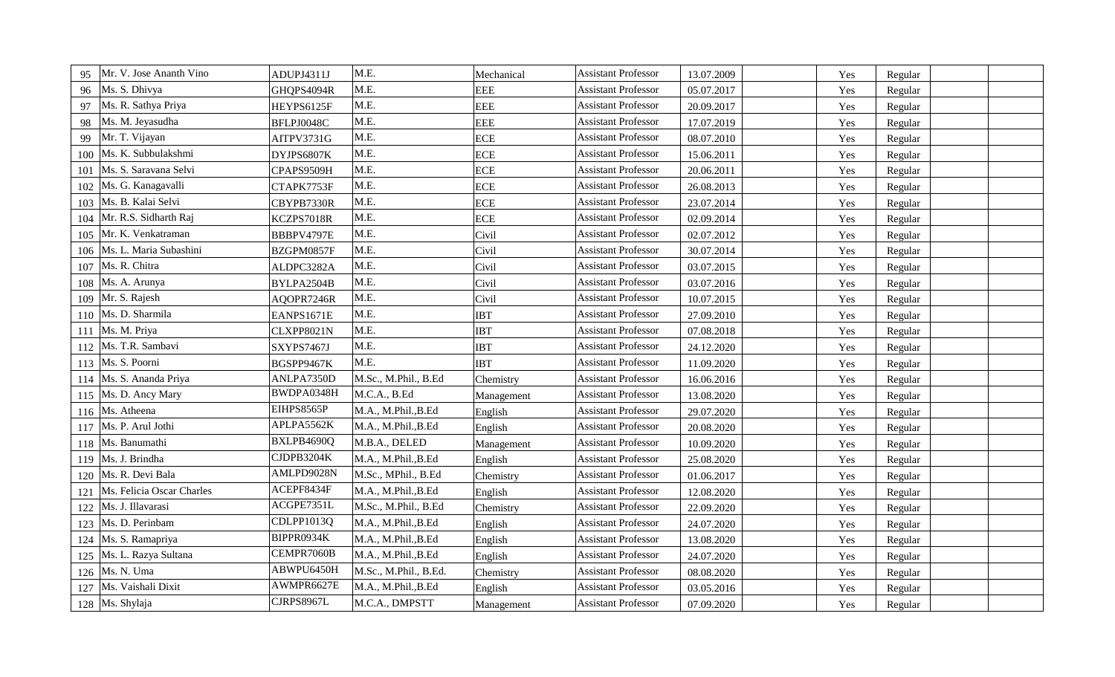| Mr. V. Jose Ananth Vino<br>95    | ADUPJ4311J | M.E.                  | Mechanical | <b>Assistant Professor</b> | 13.07.2009 | Yes | Regular |  |
|----------------------------------|------------|-----------------------|------------|----------------------------|------------|-----|---------|--|
| Ms. S. Dhivya<br>96              | GHQPS4094R | M.E.                  | <b>EEE</b> | <b>Assistant Professor</b> | 05.07.2017 | Yes | Regular |  |
| Ms. R. Sathya Priya<br>97        | HEYPS6125F | M.E.                  | <b>EEE</b> | <b>Assistant Professor</b> | 20.09.2017 | Yes | Regular |  |
| Ms. M. Jeyasudha<br>98           | BFLPJ0048C | M.E.                  | <b>EEE</b> | <b>Assistant Professor</b> | 17.07.2019 | Yes | Regular |  |
| Mr. T. Vijayan<br>99             | AITPV3731G | M.E.                  | <b>ECE</b> | <b>Assistant Professor</b> | 08.07.2010 | Yes | Regular |  |
| Ms. K. Subbulakshmi<br>100       | DYJPS6807K | M.E.                  | <b>ECE</b> | <b>Assistant Professor</b> | 15.06.2011 | Yes | Regular |  |
| Ms. S. Saravana Selvi<br>101     | CPAPS9509H | M.E.                  | <b>ECE</b> | <b>Assistant Professor</b> | 20.06.2011 | Yes | Regular |  |
| Ms. G. Kanagavalli<br>102        | CTAPK7753F | M.E.                  | <b>ECE</b> | <b>Assistant Professor</b> | 26.08.2013 | Yes | Regular |  |
| Ms. B. Kalai Selvi<br>103        | CBYPB7330R | M.E.                  | <b>ECE</b> | <b>Assistant Professor</b> | 23.07.2014 | Yes | Regular |  |
| Mr. R.S. Sidharth Raj<br>104     | KCZPS7018R | M.E.                  | <b>ECE</b> | <b>Assistant Professor</b> | 02.09.2014 | Yes | Regular |  |
| Mr. K. Venkatraman<br>105        | BBBPV4797E | M.E.                  | Civil      | <b>Assistant Professor</b> | 02.07.2012 | Yes | Regular |  |
| Ms. L. Maria Subashini<br>106    | BZGPM0857F | M.E.                  | Civil      | <b>Assistant Professor</b> | 30.07.2014 | Yes | Regular |  |
| Ms. R. Chitra<br>107             | ALDPC3282A | M.E.                  | Civil      | <b>Assistant Professor</b> | 03.07.2015 | Yes | Regular |  |
| Ms. A. Arunya<br>108             | BYLPA2504B | M.E.                  | Civil      | <b>Assistant Professor</b> | 03.07.2016 | Yes | Regular |  |
| Mr. S. Rajesh<br>109             | AQOPR7246R | M.E.                  | Civil      | <b>Assistant Professor</b> | 10.07.2015 | Yes | Regular |  |
| Ms. D. Sharmila<br>110           | EANPS1671E | M.E.                  | <b>IBT</b> | <b>Assistant Professor</b> | 27.09.2010 | Yes | Regular |  |
| Ms. M. Priya<br>111              | CLXPP8021N | M.E.                  | <b>IBT</b> | <b>Assistant Professor</b> | 07.08.2018 | Yes | Regular |  |
| Ms. T.R. Sambavi<br>112          | SXYPS7467J | M.E.                  | <b>IBT</b> | <b>Assistant Professor</b> | 24.12.2020 | Yes | Regular |  |
| 113 Ms. S. Poorni                | BGSPP9467K | M.E.                  | <b>IBT</b> | <b>Assistant Professor</b> | 11.09.2020 | Yes | Regular |  |
| Ms. S. Ananda Priya<br>114       | ANLPA7350D | M.Sc., M.Phil., B.Ed  | Chemistry  | <b>Assistant Professor</b> | 16.06.2016 | Yes | Regular |  |
| Ms. D. Ancy Mary<br>115          | BWDPA0348H | M.C.A., B.Ed          | Management | <b>Assistant Professor</b> | 13.08.2020 | Yes | Regular |  |
| Ms. Atheena<br>116               | EIHPS8565P | M.A., M.Phil., B.Ed   | English    | <b>Assistant Professor</b> | 29.07.2020 | Yes | Regular |  |
| Ms. P. Arul Jothi<br>117         | APLPA5562K | M.A., M.Phil., B.Ed   | English    | <b>Assistant Professor</b> | 20.08.2020 | Yes | Regular |  |
| Ms. Banumathi<br>118             | BXLPB4690Q | M.B.A., DELED         | Management | <b>Assistant Professor</b> | 10.09.2020 | Yes | Regular |  |
| Ms. J. Brindha<br>119            | CJDPB3204K | M.A., M.Phil., B.Ed   | English    | <b>Assistant Professor</b> | 25.08.2020 | Yes | Regular |  |
| Ms. R. Devi Bala<br>120          | AMLPD9028N | M.Sc., MPhil., B.Ed   | Chemistry  | <b>Assistant Professor</b> | 01.06.2017 | Yes | Regular |  |
| Ms. Felicia Oscar Charles<br>121 | ACEPF8434F | M.A., M.Phil., B.Ed   | English    | <b>Assistant Professor</b> | 12.08.2020 | Yes | Regular |  |
| Ms. J. Illavarasi<br>122         | ACGPE7351L | M.Sc., M.Phil., B.Ed  | Chemistry  | <b>Assistant Professor</b> | 22.09.2020 | Yes | Regular |  |
| Ms. D. Perinbam<br>123           | CDLPP1013Q | M.A., M.Phil., B.Ed   | English    | <b>Assistant Professor</b> | 24.07.2020 | Yes | Regular |  |
| Ms. S. Ramapriya<br>124          | BIPPR0934K | M.A., M.Phil., B.Ed   | English    | <b>Assistant Professor</b> | 13.08.2020 | Yes | Regular |  |
| Ms. L. Razya Sultana<br>125      | CEMPR7060B | M.A., M.Phil., B.Ed   | English    | <b>Assistant Professor</b> | 24.07.2020 | Yes | Regular |  |
| Ms. N. Uma<br>126                | ABWPU6450H | M.Sc., M.Phil., B.Ed. | Chemistry  | <b>Assistant Professor</b> | 08.08.2020 | Yes | Regular |  |
| Ms. Vaishali Dixit<br>127        | AWMPR6627E | M.A., M.Phil., B.Ed   | English    | <b>Assistant Professor</b> | 03.05.2016 | Yes | Regular |  |
| 128 Ms. Shylaja                  | CJRPS8967L | M.C.A., DMPSTT        | Management | <b>Assistant Professor</b> | 07.09.2020 | Yes | Regular |  |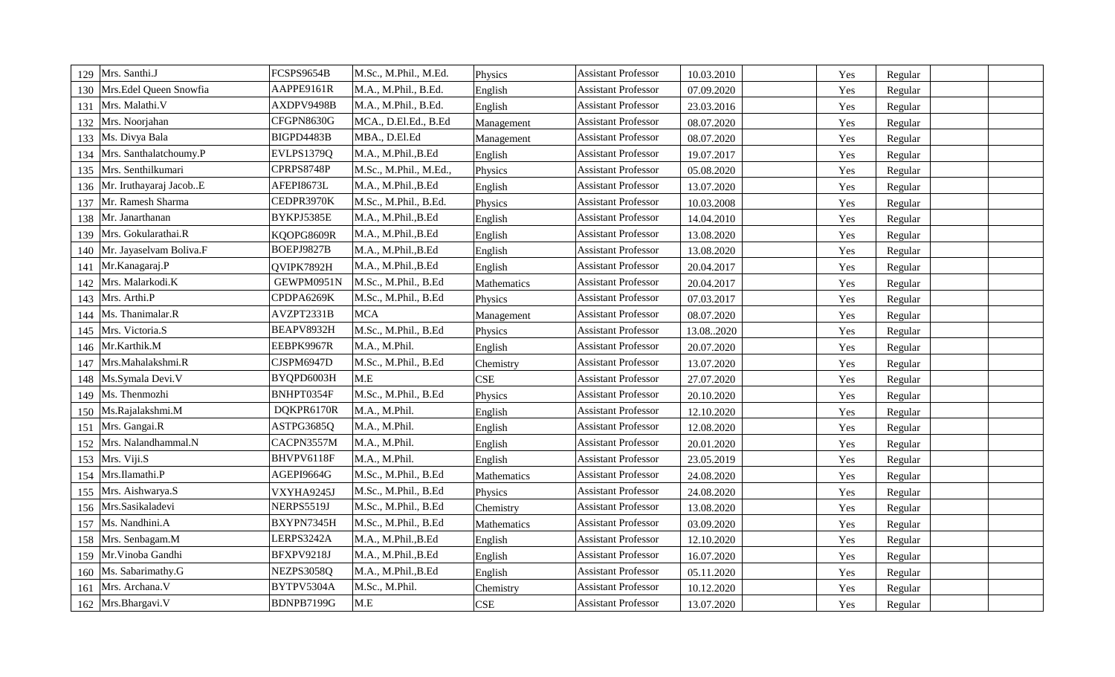| Mrs. Santhi.J<br>129           | FCSPS9654B | M.Sc., M.Phil., M.Ed.  | Physics     | <b>Assistant Professor</b> | 10.03.2010 | Yes | Regular |  |
|--------------------------------|------------|------------------------|-------------|----------------------------|------------|-----|---------|--|
| Mrs.Edel Queen Snowfia<br>130  | AAPPE9161R | M.A., M.Phil., B.Ed.   | English     | <b>Assistant Professor</b> | 07.09.2020 | Yes | Regular |  |
| Mrs. Malathi.V<br>131          | AXDPV9498B | M.A., M.Phil., B.Ed.   | English     | <b>Assistant Professor</b> | 23.03.2016 | Yes | Regular |  |
| Mrs. Noorjahan<br>132          | CFGPN8630G | MCA., D.El.Ed., B.Ed   | Management  | <b>Assistant Professor</b> | 08.07.2020 | Yes | Regular |  |
| Ms. Divya Bala<br>133          | BIGPD4483B | MBA., D.El.Ed          | Management  | <b>Assistant Professor</b> | 08.07.2020 | Yes | Regular |  |
| Mrs. Santhalatchoumy.P<br>134  | EVLPS1379Q | M.A., M.Phil., B.Ed    | English     | <b>Assistant Professor</b> | 19.07.2017 | Yes | Regular |  |
| Mrs. Senthilkumari<br>135      | CPRPS8748P | M.Sc., M.Phil., M.Ed., | Physics     | <b>Assistant Professor</b> | 05.08.2020 | Yes | Regular |  |
| Mr. Iruthayaraj JacobE<br>136  | AFEPI8673L | M.A., M.Phil., B.Ed    | English     | <b>Assistant Professor</b> | 13.07.2020 | Yes | Regular |  |
| Mr. Ramesh Sharma<br>137       | CEDPR3970K | M.Sc., M.Phil., B.Ed.  | Physics     | <b>Assistant Professor</b> | 10.03.2008 | Yes | Regular |  |
| Mr. Janarthanan<br>138         | BYKPJ5385E | M.A., M.Phil., B.Ed    | English     | <b>Assistant Professor</b> | 14.04.2010 | Yes | Regular |  |
| Mrs. Gokularathai.R<br>139     | KQOPG8609R | M.A., M.Phil., B.Ed    | English     | <b>Assistant Professor</b> | 13.08.2020 | Yes | Regular |  |
| Mr. Jayaselvam Boliva.F<br>140 | BOEPJ9827B | M.A., M.Phil., B.Ed    | English     | <b>Assistant Professor</b> | 13.08.2020 | Yes | Regular |  |
| Mr.Kanagaraj.P<br>141          | QVIPK7892H | M.A., M.Phil., B.Ed    | English     | <b>Assistant Professor</b> | 20.04.2017 | Yes | Regular |  |
| Mrs. Malarkodi.K<br>142        | GEWPM0951N | M.Sc., M.Phil., B.Ed   | Mathematics | <b>Assistant Professor</b> | 20.04.2017 | Yes | Regular |  |
| Mrs. Arthi.P<br>143            | CPDPA6269K | M.Sc., M.Phil., B.Ed   | Physics     | <b>Assistant Professor</b> | 07.03.2017 | Yes | Regular |  |
| Ms. Thanimalar.R<br>144        | AVZPT2331B | <b>MCA</b>             | Management  | <b>Assistant Professor</b> | 08.07.2020 | Yes | Regular |  |
| Mrs. Victoria.S<br>145         | BEAPV8932H | M.Sc., M.Phil., B.Ed   | Physics     | <b>Assistant Professor</b> | 13.082020  | Yes | Regular |  |
| Mr.Karthik.M<br>146            | EEBPK9967R | M.A., M.Phil.          | English     | <b>Assistant Professor</b> | 20.07.2020 | Yes | Regular |  |
| Mrs.Mahalakshmi.R<br>147       | CJSPM6947D | M.Sc., M.Phil., B.Ed   | Chemistry   | <b>Assistant Professor</b> | 13.07.2020 | Yes | Regular |  |
| Ms.Symala Devi.V<br>148        | BYQPD6003H | M.E                    | <b>CSE</b>  | <b>Assistant Professor</b> | 27.07.2020 | Yes | Regular |  |
| Ms. Thenmozhi<br>149           | BNHPT0354F | M.Sc., M.Phil., B.Ed   | Physics     | <b>Assistant Professor</b> | 20.10.2020 | Yes | Regular |  |
| Ms.Rajalakshmi.M<br>150        | DQKPR6170R | M.A., M.Phil.          | English     | <b>Assistant Professor</b> | 12.10.2020 | Yes | Regular |  |
| Mrs. Gangai.R<br>151           | ASTPG3685Q | M.A., M.Phil.          | English     | <b>Assistant Professor</b> | 12.08.2020 | Yes | Regular |  |
| Mrs. Nalandhammal.N<br>152     | CACPN3557M | M.A., M.Phil.          | English     | <b>Assistant Professor</b> | 20.01.2020 | Yes | Regular |  |
| 153   Mrs. Viji.S              | BHVPV6118F | M.A., M.Phil.          | English     | <b>Assistant Professor</b> | 23.05.2019 | Yes | Regular |  |
| Mrs.Ilamathi.P<br>154          | AGEPI9664G | M.Sc., M.Phil., B.Ed   | Mathematics | <b>Assistant Professor</b> | 24.08.2020 | Yes | Regular |  |
| Mrs. Aishwarya.S<br>155        | VXYHA9245J | M.Sc., M.Phil., B.Ed   | Physics     | <b>Assistant Professor</b> | 24.08.2020 | Yes | Regular |  |
| Mrs.Sasikaladevi<br>156        | NERPS5519J | M.Sc., M.Phil., B.Ed   | Chemistry   | <b>Assistant Professor</b> | 13.08.2020 | Yes | Regular |  |
| Ms. Nandhini.A<br>157          | BXYPN7345H | M.Sc., M.Phil., B.Ed   | Mathematics | <b>Assistant Professor</b> | 03.09.2020 | Yes | Regular |  |
| Mrs. Senbagam.M<br>158         | LERPS3242A | M.A., M.Phil., B.Ed    | English     | <b>Assistant Professor</b> | 12.10.2020 | Yes | Regular |  |
| Mr. Vinoba Gandhi<br>159       | BFXPV9218J | M.A., M.Phil., B.Ed    | English     | <b>Assistant Professor</b> | 16.07.2020 | Yes | Regular |  |
| Ms. Sabarimathy.G<br>160       | NEZPS3058Q | M.A., M.Phil., B.Ed    | English     | <b>Assistant Professor</b> | 05.11.2020 | Yes | Regular |  |
| Mrs. Archana.V<br>161          | BYTPV5304A | M.Sc., M.Phil.         | Chemistry   | <b>Assistant Professor</b> | 10.12.2020 | Yes | Regular |  |
| 162 Mrs.Bhargavi.V             | BDNPB7199G | M.E                    | <b>CSE</b>  | <b>Assistant Professor</b> | 13.07.2020 | Yes | Regular |  |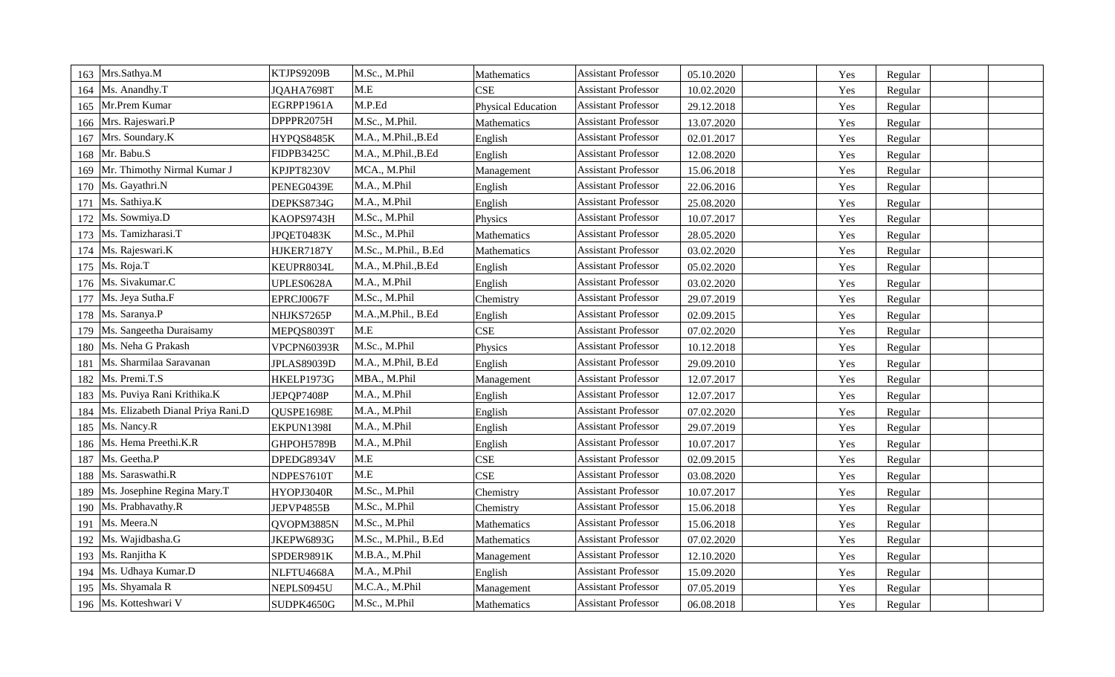| Mrs.Sathya.M<br>163                      | KTJPS9209B  | M.Sc., M.Phil        | Mathematics               | <b>Assistant Professor</b> | 05.10.2020 | Yes | Regular |  |
|------------------------------------------|-------------|----------------------|---------------------------|----------------------------|------------|-----|---------|--|
| Ms. Anandhy.T<br>164                     | JQAHA7698T  | M.E                  | <b>CSE</b>                | <b>Assistant Professor</b> | 10.02.2020 | Yes | Regular |  |
| Mr.Prem Kumar<br>165                     | EGRPP1961A  | M.P.Ed               | <b>Physical Education</b> | <b>Assistant Professor</b> | 29.12.2018 | Yes | Regular |  |
| Mrs. Rajeswari.P<br>166                  | DPPPR2075H  | M.Sc., M.Phil.       | Mathematics               | <b>Assistant Professor</b> | 13.07.2020 | Yes | Regular |  |
| Mrs. Soundary.K<br>167                   | HYPQS8485K  | M.A., M.Phil., B.Ed  | English                   | <b>Assistant Professor</b> | 02.01.2017 | Yes | Regular |  |
| Mr. Babu.S<br>168                        | FIDPB3425C  | M.A., M.Phil., B.Ed  | English                   | <b>Assistant Professor</b> | 12.08.2020 | Yes | Regular |  |
| Mr. Thimothy Nirmal Kumar J<br>169       | KPJPT8230V  | MCA., M.Phil         | Management                | <b>Assistant Professor</b> | 15.06.2018 | Yes | Regular |  |
| Ms. Gayathri.N<br>170                    | PENEG0439E  | M.A., M.Phil         | English                   | <b>Assistant Professor</b> | 22.06.2016 | Yes | Regular |  |
| Ms. Sathiya.K<br>171                     | DEPKS8734G  | M.A., M.Phil         | English                   | <b>Assistant Professor</b> | 25.08.2020 | Yes | Regular |  |
| Ms. Sowmiya.D<br>172                     | KAOPS9743H  | M.Sc., M.Phil        | Physics                   | <b>Assistant Professor</b> | 10.07.2017 | Yes | Regular |  |
| Ms. Tamizharasi.T<br>173                 | JPQET0483K  | M.Sc., M.Phil        | Mathematics               | <b>Assistant Professor</b> | 28.05.2020 | Yes | Regular |  |
| Ms. Rajeswari.K<br>174                   | HJKER7187Y  | M.Sc., M.Phil., B.Ed | Mathematics               | <b>Assistant Professor</b> | 03.02.2020 | Yes | Regular |  |
| Ms. Roja.T<br>175                        | KEUPR8034L  | M.A., M.Phil., B.Ed  | English                   | <b>Assistant Professor</b> | 05.02.2020 | Yes | Regular |  |
| 176   Ms. Sivakumar.C                    | UPLES0628A  | M.A., M.Phil         | English                   | <b>Assistant Professor</b> | 03.02.2020 | Yes | Regular |  |
| Ms. Jeya Sutha.F<br>177                  | EPRCJ0067F  | M.Sc., M.Phil        | Chemistry                 | <b>Assistant Professor</b> | 29.07.2019 | Yes | Regular |  |
| Ms. Saranya.P<br>178                     | NHJKS7265P  | M.A.,M.Phil., B.Ed   | English                   | <b>Assistant Professor</b> | 02.09.2015 | Yes | Regular |  |
| Ms. Sangeetha Duraisamy<br>179           | MEPQS8039T  | M.E                  | <b>CSE</b>                | <b>Assistant Professor</b> | 07.02.2020 | Yes | Regular |  |
| Ms. Neha G Prakash<br>180                | VPCPN60393R | M.Sc., M.Phil        | Physics                   | <b>Assistant Professor</b> | 10.12.2018 | Yes | Regular |  |
| Ms. Sharmilaa Saravanan<br>181           | JPLAS89039D | M.A., M.Phil, B.Ed   | English                   | <b>Assistant Professor</b> | 29.09.2010 | Yes | Regular |  |
| Ms. Premi.T.S<br>182                     | HKELP1973G  | MBA., M.Phil         | Management                | <b>Assistant Professor</b> | 12.07.2017 | Yes | Regular |  |
| Ms. Puviya Rani Krithika.K<br>183        | JEPQP7408P  | M.A., M.Phil         | English                   | <b>Assistant Professor</b> | 12.07.2017 | Yes | Regular |  |
| Ms. Elizabeth Dianal Priya Rani.D<br>184 | QUSPE1698E  | M.A., M.Phil         | English                   | <b>Assistant Professor</b> | 07.02.2020 | Yes | Regular |  |
| Ms. Nancy.R<br>185                       | EKPUN1398I  | M.A., M.Phil         | English                   | <b>Assistant Professor</b> | 29.07.2019 | Yes | Regular |  |
| 186   Ms. Hema Preethi.K.R               | GHPOH5789B  | M.A., M.Phil         | English                   | <b>Assistant Professor</b> | 10.07.2017 | Yes | Regular |  |
| Ms. Geetha.P<br>187                      | DPEDG8934V  | M.E                  | <b>CSE</b>                | <b>Assistant Professor</b> | 02.09.2015 | Yes | Regular |  |
| Ms. Saraswathi.R<br>188                  | NDPES7610T  | M.E                  | <b>CSE</b>                | <b>Assistant Professor</b> | 03.08.2020 | Yes | Regular |  |
| Ms. Josephine Regina Mary.T<br>189       | HYOPJ3040R  | M.Sc., M.Phil        | Chemistry                 | <b>Assistant Professor</b> | 10.07.2017 | Yes | Regular |  |
| Ms. Prabhavathy.R<br>190                 | JEPVP4855B  | M.Sc., M.Phil        | Chemistry                 | <b>Assistant Professor</b> | 15.06.2018 | Yes | Regular |  |
| Ms. Meera.N<br>191                       | QVOPM3885N  | M.Sc., M.Phil        | Mathematics               | <b>Assistant Professor</b> | 15.06.2018 | Yes | Regular |  |
| Ms. Wajidbasha.G<br>192                  | JKEPW6893G  | M.Sc., M.Phil., B.Ed | Mathematics               | <b>Assistant Professor</b> | 07.02.2020 | Yes | Regular |  |
| Ms. Ranjitha K<br>193                    | SPDER9891K  | M.B.A., M.Phil       | Management                | <b>Assistant Professor</b> | 12.10.2020 | Yes | Regular |  |
| Ms. Udhaya Kumar.D<br>194                | NLFTU4668A  | M.A., M.Phil         | English                   | <b>Assistant Professor</b> | 15.09.2020 | Yes | Regular |  |
| Ms. Shyamala R<br>195                    | NEPLS0945U  | M.C.A., M.Phil       | Management                | <b>Assistant Professor</b> | 07.05.2019 | Yes | Regular |  |
| 196 Ms. Kotteshwari V                    | SUDPK4650G  | M.Sc., M.Phil        | Mathematics               | <b>Assistant Professor</b> | 06.08.2018 | Yes | Regular |  |